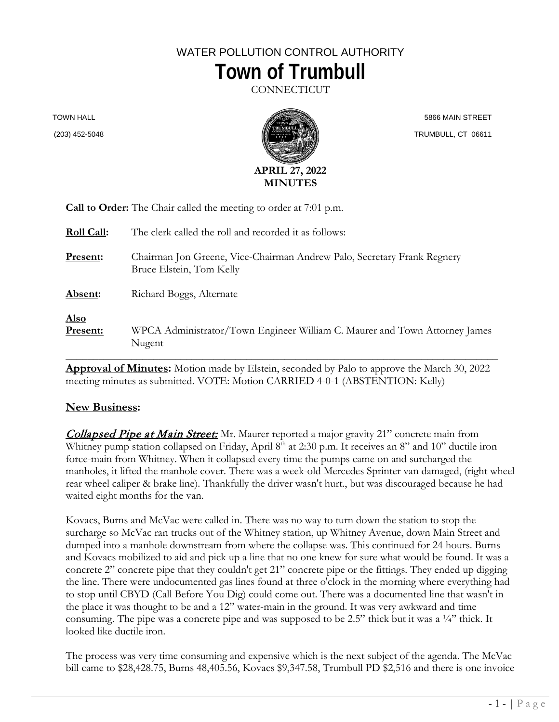# WATER POLLUTION CONTROL AUTHORITY **Town of Trumbull**

**CONNECTICUT** 

TOWN HALL

(203) 452-5048



 5866 MAIN STREET TRUMBULL, CT 06611

| <b>Call to Order:</b> The Chair called the meeting to order at 7:01 p.m. |                                                                                                     |
|--------------------------------------------------------------------------|-----------------------------------------------------------------------------------------------------|
| <b>Roll Call:</b>                                                        | The clerk called the roll and recorded it as follows:                                               |
| <b>Present:</b>                                                          | Chairman Jon Greene, Vice-Chairman Andrew Palo, Secretary Frank Regnery<br>Bruce Elstein, Tom Kelly |
| Absent:                                                                  | Richard Boggs, Alternate                                                                            |
| <u>Also</u><br>Present:                                                  | WPCA Administrator/Town Engineer William C. Maurer and Town Attorney James<br>Nugent                |

**Approval of Minutes:** Motion made by Elstein, seconded by Palo to approve the March 30, 2022 meeting minutes as submitted. VOTE: Motion CARRIED 4-0-1 (ABSTENTION: Kelly)

#### **New Business:**

**Collapsed Pipe at Main Street:** Mr. Maurer reported a major gravity 21" concrete main from Whitney pump station collapsed on Friday, April 8<sup>th</sup> at 2:30 p.m. It receives an 8" and 10" ductile iron force-main from Whitney. When it collapsed every time the pumps came on and surcharged the manholes, it lifted the manhole cover. There was a week-old Mercedes Sprinter van damaged, (right wheel rear wheel caliper & brake line). Thankfully the driver wasn't hurt., but was discouraged because he had waited eight months for the van.

Kovacs, Burns and McVac were called in. There was no way to turn down the station to stop the surcharge so McVac ran trucks out of the Whitney station, up Whitney Avenue, down Main Street and dumped into a manhole downstream from where the collapse was. This continued for 24 hours. Burns and Kovacs mobilized to aid and pick up a line that no one knew for sure what would be found. It was a concrete 2" concrete pipe that they couldn't get 21" concrete pipe or the fittings. They ended up digging the line. There were undocumented gas lines found at three o'clock in the morning where everything had to stop until CBYD (Call Before You Dig) could come out. There was a documented line that wasn't in the place it was thought to be and a 12" water-main in the ground. It was very awkward and time consuming. The pipe was a concrete pipe and was supposed to be 2.5" thick but it was a  $\frac{1}{4}$ " thick. It looked like ductile iron.

The process was very time consuming and expensive which is the next subject of the agenda. The McVac bill came to \$28,428.75, Burns 48,405.56, Kovacs \$9,347.58, Trumbull PD \$2,516 and there is one invoice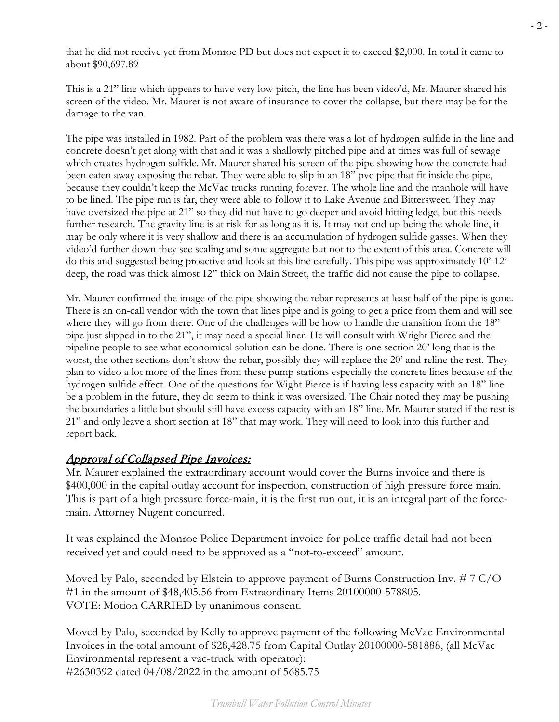that he did not receive yet from Monroe PD but does not expect it to exceed \$2,000. In total it came to about \$90,697.89

This is a 21" line which appears to have very low pitch, the line has been video'd, Mr. Maurer shared his screen of the video. Mr. Maurer is not aware of insurance to cover the collapse, but there may be for the damage to the van.

The pipe was installed in 1982. Part of the problem was there was a lot of hydrogen sulfide in the line and concrete doesn't get along with that and it was a shallowly pitched pipe and at times was full of sewage which creates hydrogen sulfide. Mr. Maurer shared his screen of the pipe showing how the concrete had been eaten away exposing the rebar. They were able to slip in an 18" pvc pipe that fit inside the pipe, because they couldn't keep the McVac trucks running forever. The whole line and the manhole will have to be lined. The pipe run is far, they were able to follow it to Lake Avenue and Bittersweet. They may have oversized the pipe at 21" so they did not have to go deeper and avoid hitting ledge, but this needs further research. The gravity line is at risk for as long as it is. It may not end up being the whole line, it may be only where it is very shallow and there is an accumulation of hydrogen sulfide gasses. When they video'd further down they see scaling and some aggregate but not to the extent of this area. Concrete will do this and suggested being proactive and look at this line carefully. This pipe was approximately 10'-12' deep, the road was thick almost 12" thick on Main Street, the traffic did not cause the pipe to collapse.

Mr. Maurer confirmed the image of the pipe showing the rebar represents at least half of the pipe is gone. There is an on-call vendor with the town that lines pipe and is going to get a price from them and will see where they will go from there. One of the challenges will be how to handle the transition from the 18" pipe just slipped in to the 21", it may need a special liner. He will consult with Wright Pierce and the pipeline people to see what economical solution can be done. There is one section 20' long that is the worst, the other sections don't show the rebar, possibly they will replace the 20' and reline the rest. They plan to video a lot more of the lines from these pump stations especially the concrete lines because of the hydrogen sulfide effect. One of the questions for Wight Pierce is if having less capacity with an 18" line be a problem in the future, they do seem to think it was oversized. The Chair noted they may be pushing the boundaries a little but should still have excess capacity with an 18" line. Mr. Maurer stated if the rest is 21" and only leave a short section at 18" that may work. They will need to look into this further and report back.

### Approval of Collapsed Pipe Invoices:

Mr. Maurer explained the extraordinary account would cover the Burns invoice and there is \$400,000 in the capital outlay account for inspection, construction of high pressure force main. This is part of a high pressure force-main, it is the first run out, it is an integral part of the forcemain. Attorney Nugent concurred.

It was explained the Monroe Police Department invoice for police traffic detail had not been received yet and could need to be approved as a "not-to-exceed" amount.

Moved by Palo, seconded by Elstein to approve payment of Burns Construction Inv. # 7 C/O #1 in the amount of \$48,405.56 from Extraordinary Items 20100000-578805. VOTE: Motion CARRIED by unanimous consent.

Moved by Palo, seconded by Kelly to approve payment of the following McVac Environmental Invoices in the total amount of \$28,428.75 from Capital Outlay 20100000-581888, (all McVac Environmental represent a vac-truck with operator): #2630392 dated 04/08/2022 in the amount of 5685.75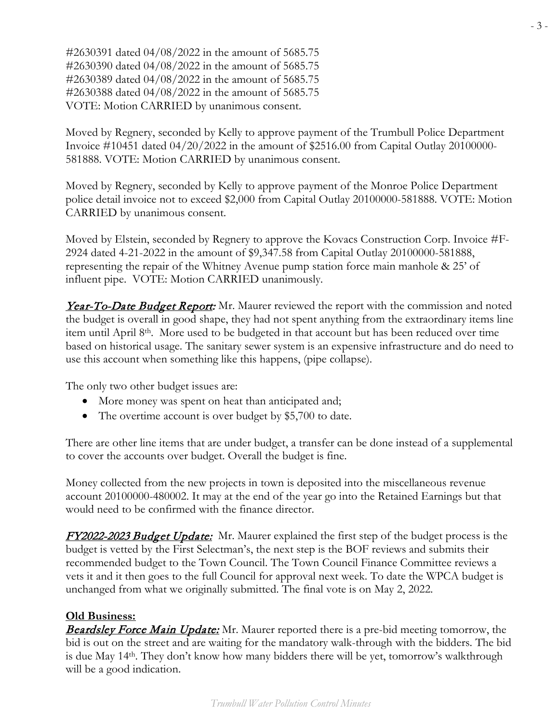#2630391 dated 04/08/2022 in the amount of 5685.75 #2630390 dated 04/08/2022 in the amount of 5685.75 #2630389 dated 04/08/2022 in the amount of 5685.75 #2630388 dated 04/08/2022 in the amount of 5685.75 VOTE: Motion CARRIED by unanimous consent.

Moved by Regnery, seconded by Kelly to approve payment of the Trumbull Police Department Invoice #10451 dated 04/20/2022 in the amount of \$2516.00 from Capital Outlay 20100000- 581888. VOTE: Motion CARRIED by unanimous consent.

Moved by Regnery, seconded by Kelly to approve payment of the Monroe Police Department police detail invoice not to exceed \$2,000 from Capital Outlay 20100000-581888. VOTE: Motion CARRIED by unanimous consent.

Moved by Elstein, seconded by Regnery to approve the Kovacs Construction Corp. Invoice #F-2924 dated 4-21-2022 in the amount of \$9,347.58 from Capital Outlay 20100000-581888, representing the repair of the Whitney Avenue pump station force main manhole & 25' of influent pipe. VOTE: Motion CARRIED unanimously.

**Year-To-Date Budget Report:** Mr. Maurer reviewed the report with the commission and noted the budget is overall in good shape, they had not spent anything from the extraordinary items line item until April  $8<sup>th</sup>$ . More used to be budgeted in that account but has been reduced over time based on historical usage. The sanitary sewer system is an expensive infrastructure and do need to use this account when something like this happens, (pipe collapse).

The only two other budget issues are:

- More money was spent on heat than anticipated and;
- The overtime account is over budget by \$5,700 to date.

There are other line items that are under budget, a transfer can be done instead of a supplemental to cover the accounts over budget. Overall the budget is fine.

Money collected from the new projects in town is deposited into the miscellaneous revenue account 20100000-480002. It may at the end of the year go into the Retained Earnings but that would need to be confirmed with the finance director.

**FY2022-2023 Budget Update:** Mr. Maurer explained the first step of the budget process is the budget is vetted by the First Selectman's, the next step is the BOF reviews and submits their recommended budget to the Town Council. The Town Council Finance Committee reviews a vets it and it then goes to the full Council for approval next week. To date the WPCA budget is unchanged from what we originally submitted. The final vote is on May 2, 2022.

### **Old Business:**

**Beardsley Force Main Update:** Mr. Maurer reported there is a pre-bid meeting tomorrow, the bid is out on the street and are waiting for the mandatory walk-through with the bidders. The bid is due May 14th. They don't know how many bidders there will be yet, tomorrow's walkthrough will be a good indication.